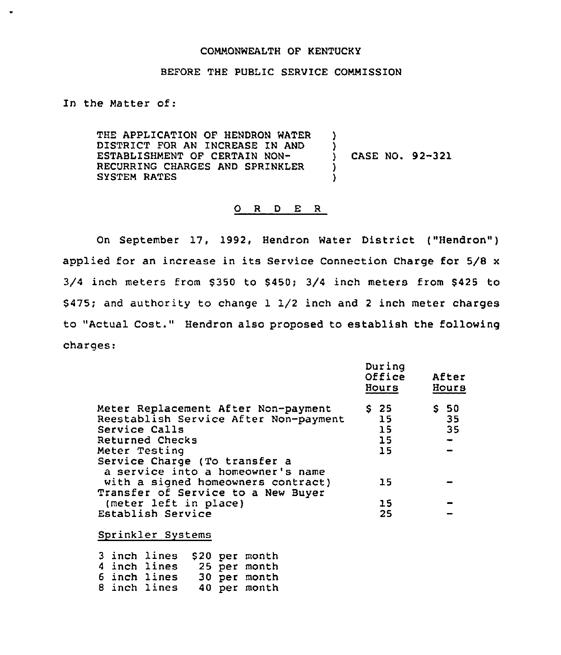#### COMMONWEALTH OF KENTUCKY

### BEFORE THE PUBLIC SERVICE COMMISSION

)

)

) )

In the Matter of:

THE APPLICATION OF HENDRON WATER DISTRICT FOR AN INCREASE IN AND ESTABLISHMENT OF CERTAIN NON-RECURRING CHARGES AND SPRINKLER SYSTEM RATES

) CASE NO. 92-321

#### 0 <sup>R</sup> <sup>D</sup> E <sup>R</sup>

On September 17, 1992, Hendron Water District ("Hendron") applied for an increase in its Service Connection Charge for 5/8 <sup>x</sup>  $3/4$  inch meters from \$350 to \$450;  $3/4$  inch meters from \$425 to \$ 475; and authority to change 1 1/2 inch and <sup>2</sup> inch meter charges to "Actual Cost." Hendron also proposed to establish the following charges:

|                                                                                                                                                                                                         | During<br>Office<br>Hours    | After<br>Hours         |  |
|---------------------------------------------------------------------------------------------------------------------------------------------------------------------------------------------------------|------------------------------|------------------------|--|
| Meter Replacement After Non-payment<br>Reestablish Service After Non-payment<br>Service Calls<br>Returned Checks<br>Meter Testing<br>Service Charge (To transfer a<br>a service into a homeowner's name | S 25<br>15<br>15<br>15<br>15 | -50<br>S.<br>-35<br>35 |  |
| with a signed homeowners contract)<br>Transfer of Service to a New Buyer                                                                                                                                | 15                           |                        |  |
| (meter left in place)                                                                                                                                                                                   | 15                           |                        |  |
| Establish Service                                                                                                                                                                                       | 25                           |                        |  |

Sprinkler Systems

3 inch lines \$20 per mont 4 inch lines 25 per month 6 inch lines 30 per month 8 inch lines 40 per month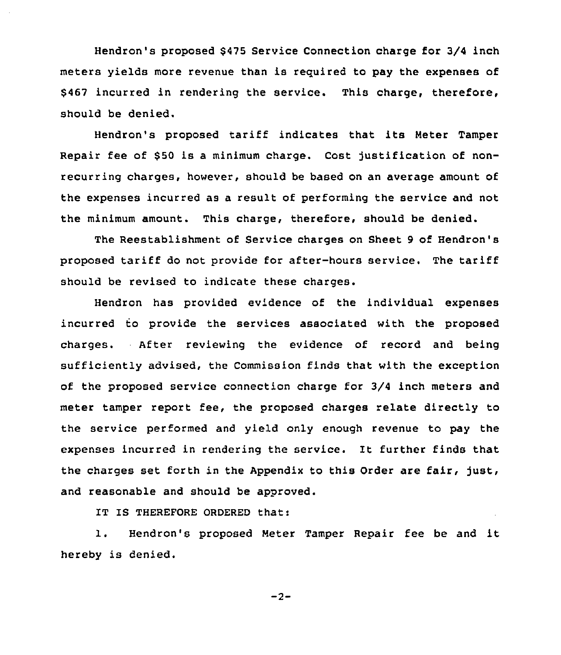Hendron's proposed 6475 Service Connection charge for 3/4 inch meters yields more revenue than is required to pay the expenses of \$467 incurred in rendering the service. This charge, therefore, should be denied.

Hendron's proposed tariff indicates that its Heter Tamper Repair fee of \$50 is a minimum charge. Cost justification of nonrecurring charges, however, should be based on an average amount of the expenses incurred as a result of performing the service and not the minimum amount. This charge, therefore, should be denied.

The Reestablishment of Service charges on Sheet 9 of Hendron's proposed tariff do not provide for after-hours service. The tariff should be revised to indicate these charges.

Hendron has provided evidence of the individual expenses incurred to provide the services associated with the proposed charges. After reviewing the evidence of record and being sufficiently advised, the Commission finds that with the exception of the proposed service connection charge for 3/4 inch meters and meter tamper report fee, the proposed charges relate directly to the service performed and yield only enough revenue to pay the expenses incurred in rendering the service. It further finds that the charges set forth in the Appendix to this Order are fair, just, and reasonable and should be approved.

IT IS THEREFORE ORDERED that:

1. Hendron's proposed Heter Tamper Repair fee be and it hereby is denied.

 $-2-$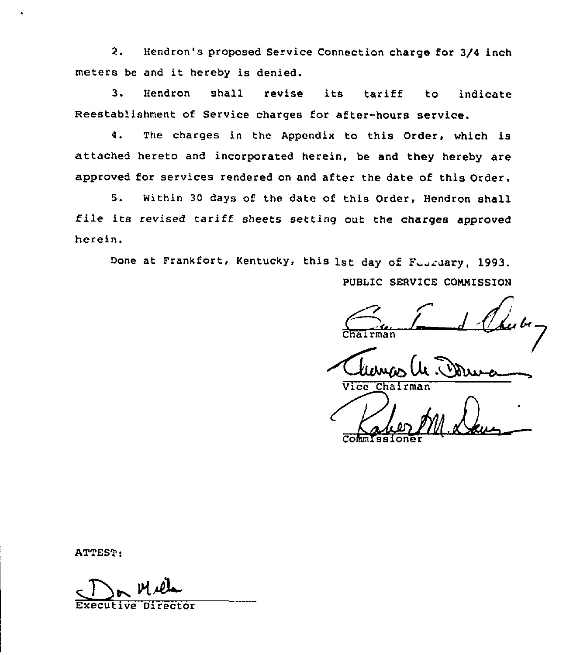2. Hendron's proposed Service Connection charge for 3/4 inch meters be and it hereby is denied.

3. Hendron shall revise its tariff to indicat Reestablishment of Service charges for after-hours service.

4. The charges in the Appendix to this Order, which is attached hereto and incorporated herein, be and they hereby are approved for services rendered on and after the date of this Order.

5. Within 30 days of the date of this Order, Hendron shall file its revised tariff sheets setting out the charges approved herein.

Done at Frankfort, Kentucky, this 1st day of Feardary, 1993.

PUBLIC SERVICE CONNISSION

 $\epsilon$ Chairma

Vice Chairman

Commissione

ATTEST:

Executive Director